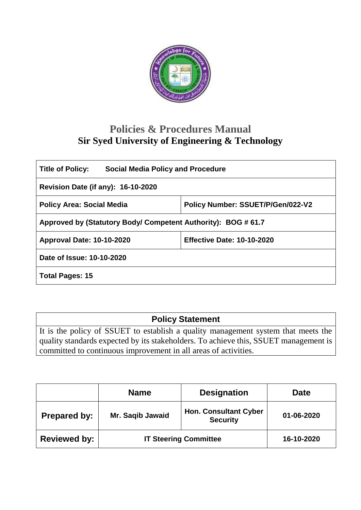

# **Policies & Procedures Manual Sir Syed University of Engineering & Technology**

| <b>Social Media Policy and Procedure</b><br><b>Title of Policy:</b> |                                   |  |  |  |
|---------------------------------------------------------------------|-----------------------------------|--|--|--|
| <b>Revision Date (if any): 16-10-2020</b>                           |                                   |  |  |  |
| <b>Policy Area: Social Media</b>                                    | Policy Number: SSUET/P/Gen/022-V2 |  |  |  |
| Approved by (Statutory Body/ Competent Authority): BOG #61.7        |                                   |  |  |  |
| <b>Approval Date: 10-10-2020</b>                                    | <b>Effective Date: 10-10-2020</b> |  |  |  |
| Date of Issue: 10-10-2020                                           |                                   |  |  |  |
| <b>Total Pages: 15</b>                                              |                                   |  |  |  |

# **Policy Statement**

It is the policy of SSUET to establish a quality management system that meets the quality standards expected by its stakeholders. To achieve this, SSUET management is committed to continuous improvement in all areas of activities.

|                     | <b>Name</b>                  | <b>Designation</b>                              | <b>Date</b> |
|---------------------|------------------------------|-------------------------------------------------|-------------|
| <b>Prepared by:</b> | Mr. Saqib Jawaid             | <b>Hon. Consultant Cyber</b><br><b>Security</b> | 01-06-2020  |
| <b>Reviewed by:</b> | <b>IT Steering Committee</b> |                                                 | 16-10-2020  |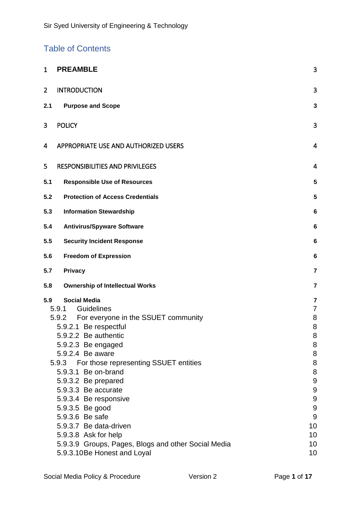## Table of Contents

| $\mathbf{1}$   | <b>PREAMBLE</b>                                     | 3                |
|----------------|-----------------------------------------------------|------------------|
| $\overline{2}$ | <b>INTRODUCTION</b>                                 | 3                |
| 2.1            | <b>Purpose and Scope</b>                            | 3                |
| 3              | <b>POLICY</b>                                       | 3                |
| 4              | APPROPRIATE USE AND AUTHORIZED USERS                | $\overline{4}$   |
| 5              | <b>RESPONSIBILITIES AND PRIVILEGES</b>              | $\overline{4}$   |
| 5.1            | <b>Responsible Use of Resources</b>                 | 5                |
| 5.2            | <b>Protection of Access Credentials</b>             | 5                |
| 5.3            | <b>Information Stewardship</b>                      | 6                |
| 5.4            | <b>Antivirus/Spyware Software</b>                   | 6                |
| 5.5            | <b>Security Incident Response</b>                   | 6                |
| 5.6            | <b>Freedom of Expression</b>                        | 6                |
| 5.7            | <b>Privacy</b>                                      | $\overline{7}$   |
| 5.8            | <b>Ownership of Intellectual Works</b>              | $\overline{7}$   |
| 5.9            | <b>Social Media</b>                                 | 7                |
|                | Guidelines<br>5.9.1                                 | $\overline{7}$   |
|                | 5.9.2<br>For everyone in the SSUET community        | 8                |
|                | 5.9.2.1 Be respectful                               | 8                |
|                | 5.9.2.2 Be authentic                                | 8                |
|                | 5.9.2.3 Be engaged<br>5.9.2.4 Be aware              | 8<br>8           |
|                | For those representing SSUET entities<br>5.9.3      | 8                |
|                | 5.9.3.1 Be on-brand                                 | 8                |
|                | 5.9.3.2 Be prepared                                 | $\boldsymbol{9}$ |
|                | 5.9.3.3 Be accurate                                 | $9\,$            |
|                | 5.9.3.4 Be responsive                               | $\boldsymbol{9}$ |
|                | 5.9.3.5 Be good                                     | $\boldsymbol{9}$ |
|                | 5.9.3.6 Be safe                                     | $\overline{9}$   |
|                | 5.9.3.7 Be data-driven                              | 10               |
|                | 5.9.3.8 Ask for help                                | 10               |
|                | 5.9.3.9 Groups, Pages, Blogs and other Social Media | 10               |
|                | 5.9.3.10Be Honest and Loyal                         | 10               |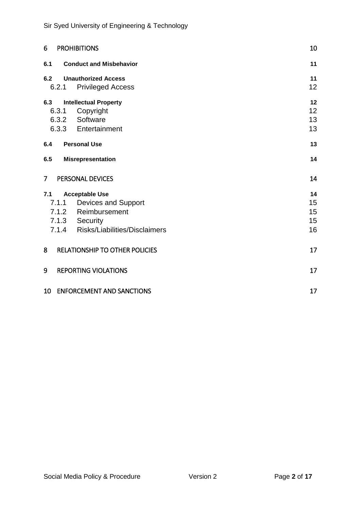| 6              | <b>PROHIBITIONS</b>                                                                                                                | 10                         |
|----------------|------------------------------------------------------------------------------------------------------------------------------------|----------------------------|
| 6.1            | <b>Conduct and Misbehavior</b>                                                                                                     | 11                         |
| 6.2            | <b>Unauthorized Access</b><br>6.2.1<br><b>Privileged Access</b>                                                                    | 11<br>12                   |
| 6.3            | <b>Intellectual Property</b><br>6.3.1<br>Copyright<br>Software<br>6.3.2<br>6.3.3 Entertainment                                     | 12<br>12<br>13<br>13       |
| 6.4            | <b>Personal Use</b>                                                                                                                | 13                         |
| 6.5            | <b>Misrepresentation</b>                                                                                                           | 14                         |
| 7 <sup>1</sup> | PERSONAL DEVICES                                                                                                                   | 14                         |
| 7.1            | <b>Acceptable Use</b><br>7.1.1 Devices and Support<br>7.1.2 Reimbursement<br>7.1.3 Security<br>7.1.4 Risks/Liabilities/Disclaimers | 14<br>15<br>15<br>15<br>16 |
| 8              | <b>RELATIONSHIP TO OTHER POLICIES</b>                                                                                              | 17                         |
| 9              | <b>REPORTING VIOLATIONS</b>                                                                                                        | 17                         |
|                | 10 ENFORCEMENT AND SANCTIONS                                                                                                       | 17                         |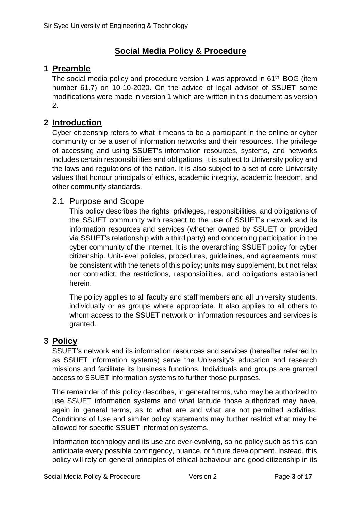## **Social Media Policy & Procedure**

### <span id="page-3-0"></span>**1 Preamble**

The social media policy and procedure version 1 was approved in 61<sup>th</sup> BOG (item number 61.7) on 10-10-2020. On the advice of legal advisor of SSUET some modifications were made in version 1 which are written in this document as version 2.

### <span id="page-3-1"></span>**2 Introduction**

Cyber citizenship refers to what it means to be a participant in the online or cyber community or be a user of information networks and their resources. The privilege of accessing and using SSUET's information resources, systems, and networks includes certain responsibilities and obligations. It is subject to University policy and the laws and regulations of the nation. It is also subject to a set of core University values that honour principals of ethics, academic integrity, academic freedom, and other community standards.

#### <span id="page-3-2"></span>2.1 Purpose and Scope

This policy describes the rights, privileges, responsibilities, and obligations of the SSUET community with respect to the use of SSUET's network and its information resources and services (whether owned by SSUET or provided via SSUET's relationship with a third party) and concerning participation in the cyber community of the Internet. It is the overarching SSUET policy for cyber citizenship. Unit-level policies, procedures, guidelines, and agreements must be consistent with the tenets of this policy; units may supplement, but not relax nor contradict, the restrictions, responsibilities, and obligations established herein.

The policy applies to all faculty and staff members and all university students, individually or as groups where appropriate. It also applies to all others to whom access to the SSUET network or information resources and services is granted.

#### <span id="page-3-3"></span>**3 Policy**

SSUET's network and its information resources and services (hereafter referred to as SSUET information systems) serve the University's education and research missions and facilitate its business functions. Individuals and groups are granted access to SSUET information systems to further those purposes.

The remainder of this policy describes, in general terms, who may be authorized to use SSUET information systems and what latitude those authorized may have, again in general terms, as to what are and what are not permitted activities. Conditions of Use and similar policy statements may further restrict what may be allowed for specific SSUET information systems.

Information technology and its use are ever-evolving, so no policy such as this can anticipate every possible contingency, nuance, or future development. Instead, this policy will rely on general principles of ethical behaviour and good citizenship in its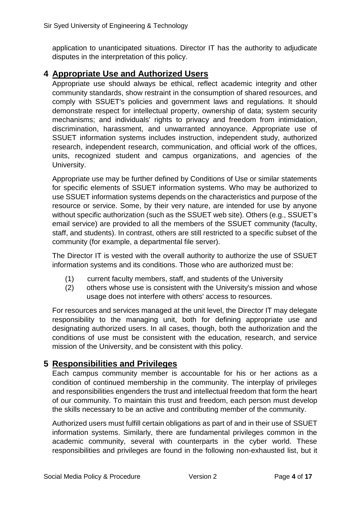application to unanticipated situations. Director IT has the authority to adjudicate disputes in the interpretation of this policy.

## <span id="page-4-0"></span>**4 Appropriate Use and Authorized Users**

Appropriate use should always be ethical, reflect academic integrity and other community standards, show restraint in the consumption of shared resources, and comply with SSUET's policies and government laws and regulations. It should demonstrate respect for intellectual property, ownership of data; system security mechanisms; and individuals' rights to privacy and freedom from intimidation, discrimination, harassment, and unwarranted annoyance. Appropriate use of SSUET information systems includes instruction, independent study, authorized research, independent research, communication, and official work of the offices, units, recognized student and campus organizations, and agencies of the University.

Appropriate use may be further defined by Conditions of Use or similar statements for specific elements of SSUET information systems. Who may be authorized to use SSUET information systems depends on the characteristics and purpose of the resource or service. Some, by their very nature, are intended for use by anyone without specific authorization (such as the SSUET web site). Others (e.g., SSUET's email service) are provided to all the members of the SSUET community (faculty, staff, and students). In contrast, others are still restricted to a specific subset of the community (for example, a departmental file server).

The Director IT is vested with the overall authority to authorize the use of SSUET information systems and its conditions. Those who are authorized must be:

- (1) current faculty members, staff, and students of the University
- (2) others whose use is consistent with the University's mission and whose usage does not interfere with others' access to resources.

For resources and services managed at the unit level, the Director IT may delegate responsibility to the managing unit, both for defining appropriate use and designating authorized users. In all cases, though, both the authorization and the conditions of use must be consistent with the education, research, and service mission of the University, and be consistent with this policy.

## <span id="page-4-1"></span>**5 Responsibilities and Privileges**

Each campus community member is accountable for his or her actions as a condition of continued membership in the community. The interplay of privileges and responsibilities engenders the trust and intellectual freedom that form the heart of our community. To maintain this trust and freedom, each person must develop the skills necessary to be an active and contributing member of the community.

Authorized users must fulfill certain obligations as part of and in their use of SSUET information systems. Similarly, there are fundamental privileges common in the academic community, several with counterparts in the cyber world. These responsibilities and privileges are found in the following non-exhausted list, but it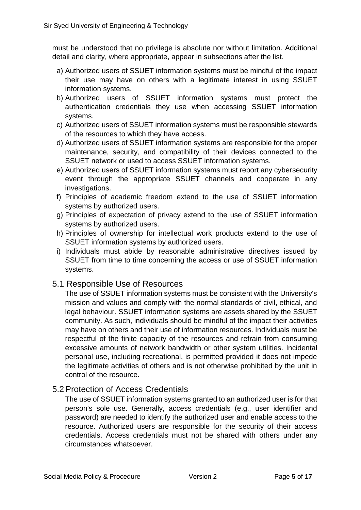must be understood that no privilege is absolute nor without limitation. Additional detail and clarity, where appropriate, appear in subsections after the list.

- a) Authorized users of SSUET information systems must be mindful of the impact their use may have on others with a legitimate interest in using SSUET information systems.
- b) Authorized users of SSUET information systems must protect the authentication credentials they use when accessing SSUET information systems.
- c) Authorized users of SSUET information systems must be responsible stewards of the resources to which they have access.
- d) Authorized users of SSUET information systems are responsible for the proper maintenance, security, and compatibility of their devices connected to the SSUET network or used to access SSUET information systems.
- e) Authorized users of SSUET information systems must report any cybersecurity event through the appropriate SSUET channels and cooperate in any investigations.
- f) Principles of academic freedom extend to the use of SSUET information systems by authorized users.
- g) Principles of expectation of privacy extend to the use of SSUET information systems by authorized users.
- h) Principles of ownership for intellectual work products extend to the use of SSUET information systems by authorized users.
- i) Individuals must abide by reasonable administrative directives issued by SSUET from time to time concerning the access or use of SSUET information systems.

#### <span id="page-5-0"></span>5.1 Responsible Use of Resources

The use of SSUET information systems must be consistent with the University's mission and values and comply with the normal standards of civil, ethical, and legal behaviour. SSUET information systems are assets shared by the SSUET community. As such, individuals should be mindful of the impact their activities may have on others and their use of information resources. Individuals must be respectful of the finite capacity of the resources and refrain from consuming excessive amounts of network bandwidth or other system utilities. Incidental personal use, including recreational, is permitted provided it does not impede the legitimate activities of others and is not otherwise prohibited by the unit in control of the resource.

## <span id="page-5-1"></span>5.2Protection of Access Credentials

The use of SSUET information systems granted to an authorized user is for that person's sole use. Generally, access credentials (e.g., user identifier and password) are needed to identify the authorized user and enable access to the resource. Authorized users are responsible for the security of their access credentials. Access credentials must not be shared with others under any circumstances whatsoever.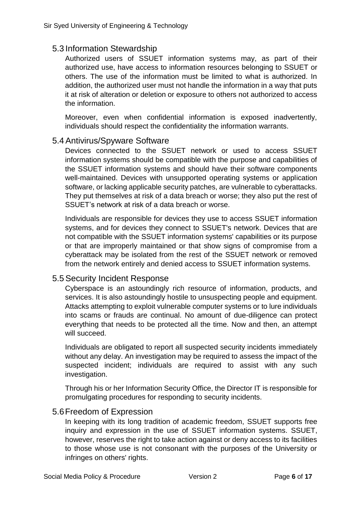#### <span id="page-6-0"></span>5.3 Information Stewardship

Authorized users of SSUET information systems may, as part of their authorized use, have access to information resources belonging to SSUET or others. The use of the information must be limited to what is authorized. In addition, the authorized user must not handle the information in a way that puts it at risk of alteration or deletion or exposure to others not authorized to access the information.

Moreover, even when confidential information is exposed inadvertently, individuals should respect the confidentiality the information warrants.

#### <span id="page-6-1"></span>5.4Antivirus/Spyware Software

Devices connected to the SSUET network or used to access SSUET information systems should be compatible with the purpose and capabilities of the SSUET information systems and should have their software components well-maintained. Devices with unsupported operating systems or application software, or lacking applicable security patches, are vulnerable to cyberattacks. They put themselves at risk of a data breach or worse; they also put the rest of SSUET's network at risk of a data breach or worse.

Individuals are responsible for devices they use to access SSUET information systems, and for devices they connect to SSUET's network. Devices that are not compatible with the SSUET information systems' capabilities or its purpose or that are improperly maintained or that show signs of compromise from a cyberattack may be isolated from the rest of the SSUET network or removed from the network entirely and denied access to SSUET information systems.

#### <span id="page-6-2"></span>5.5Security Incident Response

Cyberspace is an astoundingly rich resource of information, products, and services. It is also astoundingly hostile to unsuspecting people and equipment. Attacks attempting to exploit vulnerable computer systems or to lure individuals into scams or frauds are continual. No amount of due-diligence can protect everything that needs to be protected all the time. Now and then, an attempt will succeed.

Individuals are obligated to report all suspected security incidents immediately without any delay. An investigation may be required to assess the impact of the suspected incident; individuals are required to assist with any such investigation.

Through his or her Information Security Office, the Director IT is responsible for promulgating procedures for responding to security incidents.

#### <span id="page-6-3"></span>5.6Freedom of Expression

In keeping with its long tradition of academic freedom, SSUET supports free inquiry and expression in the use of SSUET information systems. SSUET, however, reserves the right to take action against or deny access to its facilities to those whose use is not consonant with the purposes of the University or infringes on others' rights.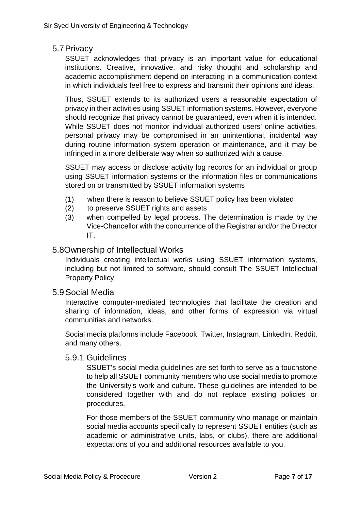#### <span id="page-7-0"></span>5.7Privacy

SSUET acknowledges that privacy is an important value for educational institutions. Creative, innovative, and risky thought and scholarship and academic accomplishment depend on interacting in a communication context in which individuals feel free to express and transmit their opinions and ideas.

Thus, SSUET extends to its authorized users a reasonable expectation of privacy in their activities using SSUET information systems. However, everyone should recognize that privacy cannot be guaranteed, even when it is intended. While SSUET does not monitor individual authorized users' online activities, personal privacy may be compromised in an unintentional, incidental way during routine information system operation or maintenance, and it may be infringed in a more deliberate way when so authorized with a cause.

SSUET may access or disclose activity log records for an individual or group using SSUET information systems or the information files or communications stored on or transmitted by SSUET information systems

- (1) when there is reason to believe SSUET policy has been violated
- (2) to preserve SSUET rights and assets
- (3) when compelled by legal process. The determination is made by the Vice-Chancellor with the concurrence of the Registrar and/or the Director IT.

#### <span id="page-7-1"></span>5.8Ownership of Intellectual Works

Individuals creating intellectual works using SSUET information systems, including but not limited to software, should consult The SSUET Intellectual Property Policy.

#### <span id="page-7-2"></span>5.9Social Media

Interactive computer-mediated technologies that facilitate the creation and sharing of information, ideas, and other forms of expression via virtual communities and networks.

Social media platforms include Facebook, Twitter, Instagram, LinkedIn, Reddit, and many others.

#### <span id="page-7-3"></span>5.9.1 Guidelines

SSUET's social media guidelines are set forth to serve as a touchstone to help all SSUET community members who use social media to promote the University's work and culture. These guidelines are intended to be considered together with and do not replace existing policies or procedures.

For those members of the SSUET community who manage or maintain social media accounts specifically to represent SSUET entities (such as academic or administrative units, labs, or clubs), there are additional expectations of you and additional resources available to you.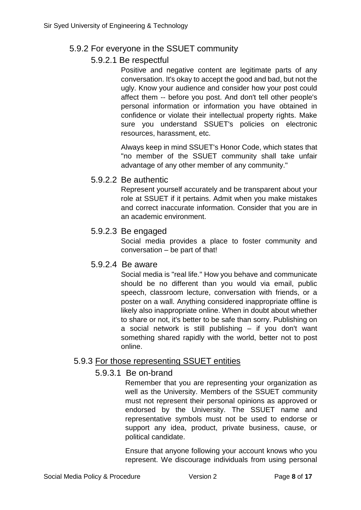### <span id="page-8-1"></span><span id="page-8-0"></span>5.9.2 For everyone in the SSUET community

#### 5.9.2.1 Be respectful

Positive and negative content are legitimate parts of any conversation. It's okay to accept the good and bad, but not the ugly. Know your audience and consider how your post could affect them -- before you post. And don't tell other people's personal information or information you have obtained in confidence or violate their intellectual property rights. Make sure you understand SSUET's policies on electronic resources, harassment, etc.

Always keep in mind SSUET's Honor Code, which states that "no member of the SSUET community shall take unfair advantage of any other member of any community."

#### <span id="page-8-2"></span>5.9.2.2 Be authentic

Represent yourself accurately and be transparent about your role at SSUET if it pertains. Admit when you make mistakes and correct inaccurate information. Consider that you are in an academic environment.

#### <span id="page-8-3"></span>5.9.2.3 Be engaged

Social media provides a place to foster community and conversation – be part of that!

#### <span id="page-8-4"></span>5.9.2.4 Be aware

Social media is "real life." How you behave and communicate should be no different than you would via email, public speech, classroom lecture, conversation with friends, or a poster on a wall. Anything considered inappropriate offline is likely also inappropriate online. When in doubt about whether to share or not, it's better to be safe than sorry. Publishing on a social network is still publishing  $-$  if you don't want something shared rapidly with the world, better not to post online.

#### <span id="page-8-6"></span><span id="page-8-5"></span>5.9.3 For those representing SSUET entities

#### 5.9.3.1 Be on-brand

Remember that you are representing your organization as well as the University. Members of the SSUET community must not represent their personal opinions as approved or endorsed by the University. The SSUET name and representative symbols must not be used to endorse or support any idea, product, private business, cause, or political candidate.

Ensure that anyone following your account knows who you represent. We discourage individuals from using personal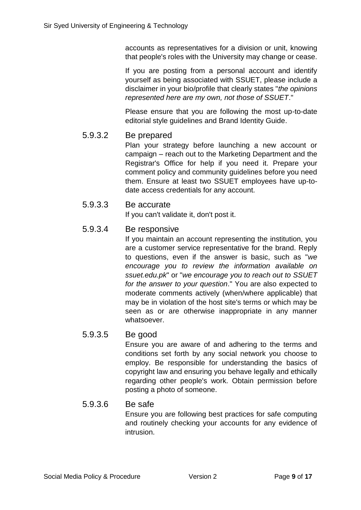accounts as representatives for a division or unit, knowing that people's roles with the University may change or cease.

If you are posting from a personal account and identify yourself as being associated with SSUET, please include a disclaimer in your bio/profile that clearly states "*the opinions represented here are my own, not those of SSUET*."

Please ensure that you are following the most up-to-date editorial style guidelines and Brand Identity Guide.

#### <span id="page-9-0"></span>5.9.3.2 Be prepared

Plan your strategy before launching a new account or campaign – reach out to the Marketing Department and the Registrar's Office for help if you need it. Prepare your comment policy and community guidelines before you need them. Ensure at least two SSUET employees have up-todate access credentials for any account.

<span id="page-9-1"></span>5.9.3.3 Be accurate

If you can't validate it, don't post it.

#### <span id="page-9-2"></span>5.9.3.4 Be responsive

If you maintain an account representing the institution, you are a customer service representative for the brand. Reply to questions, even if the answer is basic, such as "*we encourage you to review the information available on ssuet.edu.pk*" or "*we encourage you to reach out to SSUET for the answer to your question*." You are also expected to moderate comments actively (when/where applicable) that may be in violation of the host site's terms or which may be seen as or are otherwise inappropriate in any manner whatsoever.

#### <span id="page-9-3"></span>5.9.3.5 Be good

Ensure you are aware of and adhering to the terms and conditions set forth by any social network you choose to employ. Be responsible for understanding the basics of copyright law and ensuring you behave legally and ethically regarding other people's work. Obtain permission before posting a photo of someone.

#### <span id="page-9-4"></span>5.9.3.6 Be safe

Ensure you are following best practices for safe computing and routinely checking your accounts for any evidence of intrusion.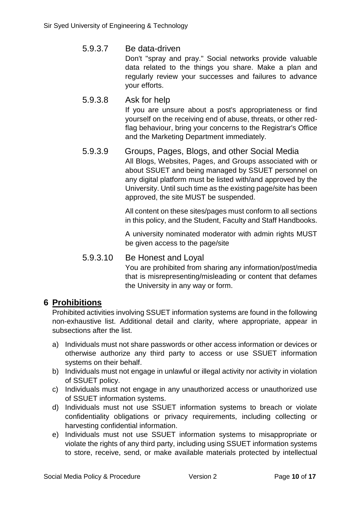### <span id="page-10-0"></span>5.9.3.7 Be data-driven

Don't "spray and pray." Social networks provide valuable data related to the things you share. Make a plan and regularly review your successes and failures to advance your efforts.

<span id="page-10-1"></span>5.9.3.8 Ask for help If you are unsure about a post's appropriateness or find yourself on the receiving end of abuse, threats, or other redflag behaviour, bring your concerns to the Registrar's Office and the Marketing Department immediately.

#### <span id="page-10-2"></span>5.9.3.9 Groups, Pages, Blogs, and other Social Media All Blogs, Websites, Pages, and Groups associated with or about SSUET and being managed by SSUET personnel on any digital platform must be listed with/and approved by the University. Until such time as the existing page/site has been approved, the site MUST be suspended.

All content on these sites/pages must conform to all sections in this policy, and the Student, Faculty and Staff Handbooks.

A university nominated moderator with admin rights MUST be given access to the page/site

## <span id="page-10-3"></span>5.9.3.10 Be Honest and Loyal

You are prohibited from sharing any information/post/media that is misrepresenting/misleading or content that defames the University in any way or form.

## <span id="page-10-4"></span>**6 Prohibitions**

Prohibited activities involving SSUET information systems are found in the following non-exhaustive list. Additional detail and clarity, where appropriate, appear in subsections after the list.

- a) Individuals must not share passwords or other access information or devices or otherwise authorize any third party to access or use SSUET information systems on their behalf.
- b) Individuals must not engage in unlawful or illegal activity nor activity in violation of SSUET policy.
- c) Individuals must not engage in any unauthorized access or unauthorized use of SSUET information systems.
- d) Individuals must not use SSUET information systems to breach or violate confidentiality obligations or privacy requirements, including collecting or harvesting confidential information.
- e) Individuals must not use SSUET information systems to misappropriate or violate the rights of any third party, including using SSUET information systems to store, receive, send, or make available materials protected by intellectual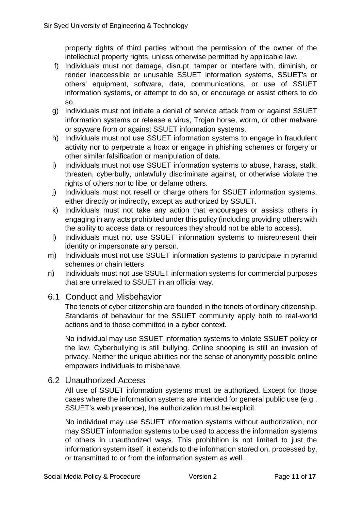property rights of third parties without the permission of the owner of the intellectual property rights, unless otherwise permitted by applicable law.

- f) Individuals must not damage, disrupt, tamper or interfere with, diminish, or render inaccessible or unusable SSUET information systems, SSUET's or others' equipment, software, data, communications, or use of SSUET information systems, or attempt to do so, or encourage or assist others to do so.
- g) Individuals must not initiate a denial of service attack from or against SSUET information systems or release a virus, Trojan horse, worm, or other malware or spyware from or against SSUET information systems.
- h) Individuals must not use SSUET information systems to engage in fraudulent activity nor to perpetrate a hoax or engage in phishing schemes or forgery or other similar falsification or manipulation of data.
- i) Individuals must not use SSUET information systems to abuse, harass, stalk, threaten, cyberbully, unlawfully discriminate against, or otherwise violate the rights of others nor to libel or defame others.
- j) Individuals must not resell or charge others for SSUET information systems, either directly or indirectly, except as authorized by SSUET.
- k) Individuals must not take any action that encourages or assists others in engaging in any acts prohibited under this policy (including providing others with the ability to access data or resources they should not be able to access).
- l) Individuals must not use SSUET information systems to misrepresent their identity or impersonate any person.
- m) Individuals must not use SSUET information systems to participate in pyramid schemes or chain letters.
- n) Individuals must not use SSUET information systems for commercial purposes that are unrelated to SSUET in an official way.

#### <span id="page-11-0"></span>6.1 Conduct and Misbehavior

The tenets of cyber citizenship are founded in the tenets of ordinary citizenship. Standards of behaviour for the SSUET community apply both to real-world actions and to those committed in a cyber context.

No individual may use SSUET information systems to violate SSUET policy or the law. Cyberbullying is still bullying. Online snooping is still an invasion of privacy. Neither the unique abilities nor the sense of anonymity possible online empowers individuals to misbehave.

#### <span id="page-11-1"></span>6.2 Unauthorized Access

All use of SSUET information systems must be authorized. Except for those cases where the information systems are intended for general public use (e.g., SSUET's web presence), the authorization must be explicit.

No individual may use SSUET information systems without authorization, nor may SSUET information systems to be used to access the information systems of others in unauthorized ways. This prohibition is not limited to just the information system itself; it extends to the information stored on, processed by, or transmitted to or from the information system as well.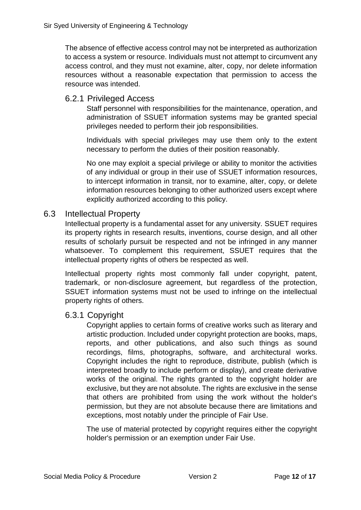The absence of effective access control may not be interpreted as authorization to access a system or resource. Individuals must not attempt to circumvent any access control, and they must not examine, alter, copy, nor delete information resources without a reasonable expectation that permission to access the resource was intended.

#### <span id="page-12-0"></span>6.2.1 Privileged Access

Staff personnel with responsibilities for the maintenance, operation, and administration of SSUET information systems may be granted special privileges needed to perform their job responsibilities.

Individuals with special privileges may use them only to the extent necessary to perform the duties of their position reasonably.

No one may exploit a special privilege or ability to monitor the activities of any individual or group in their use of SSUET information resources, to intercept information in transit, nor to examine, alter, copy, or delete information resources belonging to other authorized users except where explicitly authorized according to this policy.

#### <span id="page-12-1"></span>6.3 Intellectual Property

Intellectual property is a fundamental asset for any university. SSUET requires its property rights in research results, inventions, course design, and all other results of scholarly pursuit be respected and not be infringed in any manner whatsoever. To complement this requirement, SSUET requires that the intellectual property rights of others be respected as well.

Intellectual property rights most commonly fall under copyright, patent, trademark, or non-disclosure agreement, but regardless of the protection, SSUET information systems must not be used to infringe on the intellectual property rights of others.

#### <span id="page-12-2"></span>6.3.1 Copyright

Copyright applies to certain forms of creative works such as literary and artistic production. Included under copyright protection are books, maps, reports, and other publications, and also such things as sound recordings, films, photographs, software, and architectural works. Copyright includes the right to reproduce, distribute, publish (which is interpreted broadly to include perform or display), and create derivative works of the original. The rights granted to the copyright holder are exclusive, but they are not absolute. The rights are exclusive in the sense that others are prohibited from using the work without the holder's permission, but they are not absolute because there are limitations and exceptions, most notably under the principle of Fair Use.

The use of material protected by copyright requires either the copyright holder's permission or an exemption under Fair Use.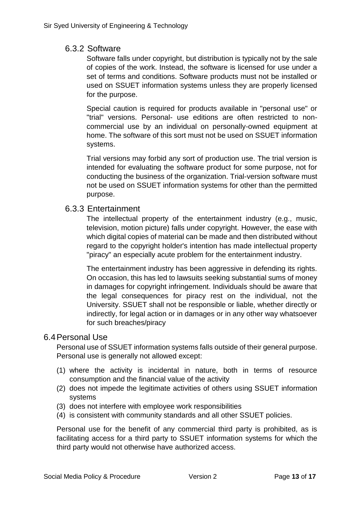#### <span id="page-13-0"></span>6.3.2 Software

Software falls under copyright, but distribution is typically not by the sale of copies of the work. Instead, the software is licensed for use under a set of terms and conditions. Software products must not be installed or used on SSUET information systems unless they are properly licensed for the purpose.

Special caution is required for products available in "personal use" or "trial" versions. Personal- use editions are often restricted to noncommercial use by an individual on personally-owned equipment at home. The software of this sort must not be used on SSUET information systems.

Trial versions may forbid any sort of production use. The trial version is intended for evaluating the software product for some purpose, not for conducting the business of the organization. Trial-version software must not be used on SSUET information systems for other than the permitted purpose.

#### <span id="page-13-1"></span>6.3.3 Entertainment

The intellectual property of the entertainment industry (e.g., music, television, motion picture) falls under copyright. However, the ease with which digital copies of material can be made and then distributed without regard to the copyright holder's intention has made intellectual property "piracy" an especially acute problem for the entertainment industry.

The entertainment industry has been aggressive in defending its rights. On occasion, this has led to lawsuits seeking substantial sums of money in damages for copyright infringement. Individuals should be aware that the legal consequences for piracy rest on the individual, not the University. SSUET shall not be responsible or liable, whether directly or indirectly, for legal action or in damages or in any other way whatsoever for such breaches/piracy

#### <span id="page-13-2"></span>6.4Personal Use

Personal use of SSUET information systems falls outside of their general purpose. Personal use is generally not allowed except:

- (1) where the activity is incidental in nature, both in terms of resource consumption and the financial value of the activity
- (2) does not impede the legitimate activities of others using SSUET information systems
- (3) does not interfere with employee work responsibilities
- (4) is consistent with community standards and all other SSUET policies.

Personal use for the benefit of any commercial third party is prohibited, as is facilitating access for a third party to SSUET information systems for which the third party would not otherwise have authorized access.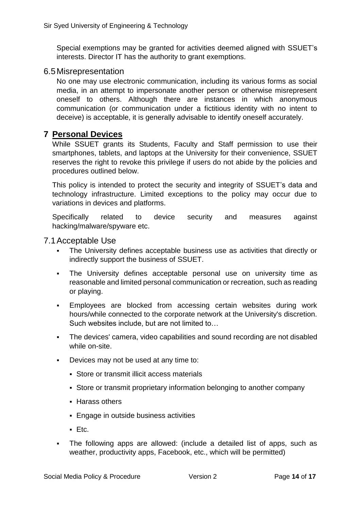Special exemptions may be granted for activities deemed aligned with SSUET's interests. Director IT has the authority to grant exemptions.

#### <span id="page-14-0"></span>6.5Misrepresentation

No one may use electronic communication, including its various forms as social media, in an attempt to impersonate another person or otherwise misrepresent oneself to others. Although there are instances in which anonymous communication (or communication under a fictitious identity with no intent to deceive) is acceptable, it is generally advisable to identify oneself accurately.

## <span id="page-14-1"></span>**7 Personal Devices**

While SSUET grants its Students, Faculty and Staff permission to use their smartphones, tablets, and laptops at the University for their convenience, SSUET reserves the right to revoke this privilege if users do not abide by the policies and procedures outlined below.

This policy is intended to protect the security and integrity of SSUET's data and technology infrastructure. Limited exceptions to the policy may occur due to variations in devices and platforms.

Specifically related to device security and measures against hacking/malware/spyware etc.

#### <span id="page-14-2"></span>7.1Acceptable Use

- The University defines acceptable business use as activities that directly or indirectly support the business of SSUET.
- The University defines acceptable personal use on university time as reasonable and limited personal communication or recreation, such as reading or playing.
- Employees are blocked from accessing certain websites during work hours/while connected to the corporate network at the University's discretion. Such websites include, but are not limited to…
- The devices' camera, video capabilities and sound recording are not disabled while on-site.
- Devices may not be used at any time to:
	- Store or transmit illicit access materials
	- Store or transmit proprietary information belonging to another company
	- **Harass others**
	- Engage in outside business activities
	- Etc.
- The following apps are allowed: (include a detailed list of apps, such as weather, productivity apps, Facebook, etc., which will be permitted)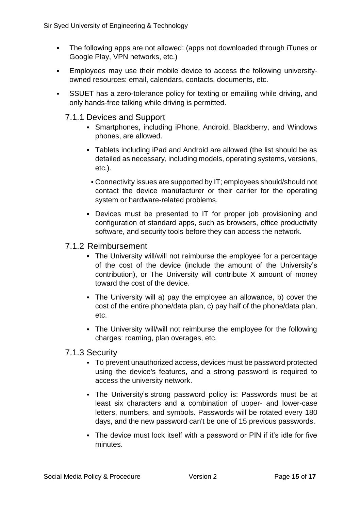- The following apps are not allowed: (apps not downloaded through iTunes or Google Play, VPN networks, etc.)
- Employees may use their mobile device to access the following universityowned resources: email, calendars, contacts, documents, etc.
- SSUET has a zero-tolerance policy for texting or emailing while driving, and only hands-free talking while driving is permitted.

#### <span id="page-15-0"></span>7.1.1 Devices and Support

- Smartphones, including iPhone, Android, Blackberry, and Windows phones, are allowed.
- Tablets including iPad and Android are allowed (the list should be as detailed as necessary, including models, operating systems, versions, etc.).
	- Connectivity issues are supported by IT; employees should/should not contact the device manufacturer or their carrier for the operating system or hardware-related problems.
- Devices must be presented to IT for proper job provisioning and configuration of standard apps, such as browsers, office productivity software, and security tools before they can access the network.

#### <span id="page-15-1"></span>7.1.2 Reimbursement

- The University will/will not reimburse the employee for a percentage of the cost of the device (include the amount of the University's contribution), or The University will contribute X amount of money toward the cost of the device.
- The University will a) pay the employee an allowance, b) cover the cost of the entire phone/data plan, c) pay half of the phone/data plan, etc.
- The University will/will not reimburse the employee for the following charges: roaming, plan overages, etc.

#### <span id="page-15-2"></span>7.1.3 Security

- To prevent unauthorized access, devices must be password protected using the device's features, and a strong password is required to access the university network.
- The University's strong password policy is: Passwords must be at least six characters and a combination of upper- and lower-case letters, numbers, and symbols. Passwords will be rotated every 180 days, and the new password can't be one of 15 previous passwords.
- The device must lock itself with a password or PIN if it's idle for five minutes.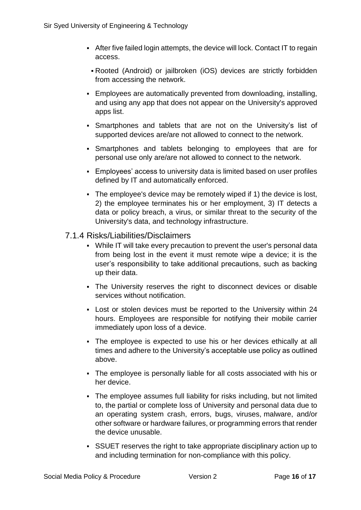- After five failed login attempts, the device will lock. Contact IT to regain access.
- Rooted (Android) or jailbroken (iOS) devices are strictly forbidden from accessing the network.
- Employees are automatically prevented from downloading, installing, and using any app that does not appear on the University's approved apps list.
- Smartphones and tablets that are not on the University's list of supported devices are/are not allowed to connect to the network.
- Smartphones and tablets belonging to employees that are for personal use only are/are not allowed to connect to the network.
- Employees' access to university data is limited based on user profiles defined by IT and automatically enforced.
- The employee's device may be remotely wiped if 1) the device is lost, 2) the employee terminates his or her employment, 3) IT detects a data or policy breach, a virus, or similar threat to the security of the University's data, and technology infrastructure.
- <span id="page-16-0"></span>7.1.4 Risks/Liabilities/Disclaimers
	- While IT will take every precaution to prevent the user's personal data from being lost in the event it must remote wipe a device; it is the user's responsibility to take additional precautions, such as backing up their data.
	- The University reserves the right to disconnect devices or disable services without notification.
	- Lost or stolen devices must be reported to the University within 24 hours. Employees are responsible for notifying their mobile carrier immediately upon loss of a device.
	- The employee is expected to use his or her devices ethically at all times and adhere to the University's acceptable use policy as outlined above.
	- The employee is personally liable for all costs associated with his or her device.
	- The employee assumes full liability for risks including, but not limited to, the partial or complete loss of University and personal data due to an operating system crash, errors, bugs, viruses, malware, and/or other software or hardware failures, or programming errors that render the device unusable.
	- SSUET reserves the right to take appropriate disciplinary action up to and including termination for non-compliance with this policy.